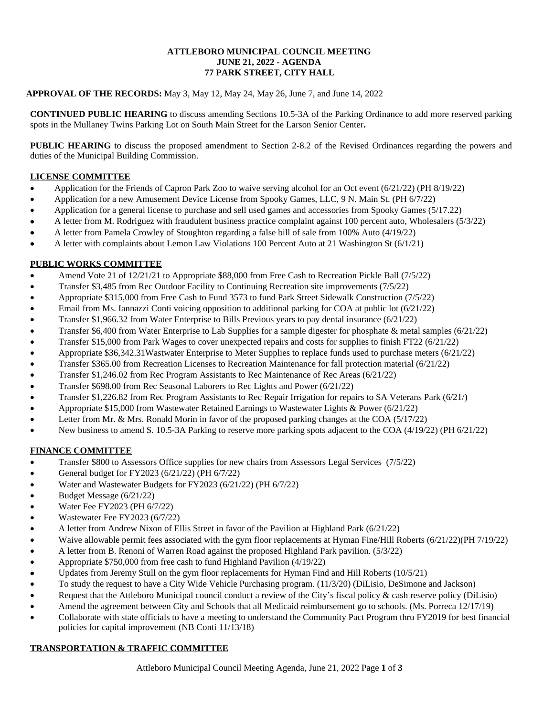#### **ATTLEBORO MUNICIPAL COUNCIL MEETING JUNE 21, 2022 - AGENDA 77 PARK STREET, CITY HALL**

### **APPROVAL OF THE RECORDS:** May 3, May 12, May 24, May 26, June 7, and June 14, 2022

**CONTINUED PUBLIC HEARING** to discuss amending Sections 10.5-3A of the Parking Ordinance to add more reserved parking spots in the Mullaney Twins Parking Lot on South Main Street for the Larson Senior Center**.**

**PUBLIC HEARING** to discuss the proposed amendment to Section 2-8.2 of the Revised Ordinances regarding the powers and duties of the Municipal Building Commission.

### **LICENSE COMMITTEE**

- Application for the Friends of Capron Park Zoo to waive serving alcohol for an Oct event (6/21/22) (PH 8/19/22)
- Application for a new Amusement Device License from Spooky Games, LLC, 9 N. Main St. (PH 6/7/22)
- Application for a general license to purchase and sell used games and accessories from Spooky Games (5/17.22)
- A letter from M. Rodriguez with fraudulent business practice complaint against 100 percent auto, Wholesalers (5/3/22)
- A letter from Pamela Crowley of Stoughton regarding a false bill of sale from 100% Auto (4/19/22)
- A letter with complaints about Lemon Law Violations 100 Percent Auto at 21 Washington St (6/1/21)

### **PUBLIC WORKS COMMITTEE**

- Amend Vote 21 of 12/21/21 to Appropriate \$88,000 from Free Cash to Recreation Pickle Ball (7/5/22)
- Transfer \$3,485 from Rec Outdoor Facility to Continuing Recreation site improvements (7/5/22)
- Appropriate \$315,000 from Free Cash to Fund 3573 to fund Park Street Sidewalk Construction (7/5/22)
- Email from Ms. Iannazzi Conti voicing opposition to additional parking for COA at public lot (6/21/22)
- Transfer \$1,966.32 from Water Enterprise to Bills Previous years to pay dental insurance (6/21/22)
- Transfer \$6,400 from Water Enterprise to Lab Supplies for a sample digester for phosphate & metal samples (6/21/22)
- Transfer \$15,000 from Park Wages to cover unexpected repairs and costs for supplies to finish FT22 (6/21/22)
- Appropriate \$36,342.31Wastwater Enterprise to Meter Supplies to replace funds used to purchase meters (6/21/22)
- Transfer \$365.00 from Recreation Licenses to Recreation Maintenance for fall protection material (6/21/22)
- Transfer \$1,246.02 from Rec Program Assistants to Rec Maintenance of Rec Areas (6/21/22)
- Transfer \$698.00 from Rec Seasonal Laborers to Rec Lights and Power (6/21/22)
- Transfer \$1,226.82 from Rec Program Assistants to Rec Repair Irrigation for repairs to SA Veterans Park (6/21/)
- Appropriate \$15,000 from Wastewater Retained Earnings to Wastewater Lights & Power (6/21/22)
- Letter from Mr. & Mrs. Ronald Morin in favor of the proposed parking changes at the COA (5/17/22)
- New business to amend S. 10.5-3A Parking to reserve more parking spots adjacent to the COA (4/19/22) (PH 6/21/22)

## **FINANCE COMMITTEE**

- Transfer \$800 to Assessors Office supplies for new chairs from Assessors Legal Services (7/5/22)
- General budget for FY2023 (6/21/22) (PH 6/7/22)
- Water and Wastewater Budgets for FY2023 (6/21/22) (PH 6/7/22)
- Budget Message (6/21/22)
- Water Fee FY2023 (PH 6/7/22)
- Wastewater Fee FY2023 (6/7/22)
- A letter from Andrew Nixon of Ellis Street in favor of the Pavilion at Highland Park (6/21/22)
- Waive allowable permit fees associated with the gym floor replacements at Hyman Fine/Hill Roberts (6/21/22)(PH 7/19/22)
- A letter from B. Renoni of Warren Road against the proposed Highland Park pavilion. (5/3/22)
- Appropriate \$750,000 from free cash to fund Highland Pavilion (4/19/22)
- Updates from Jeremy Stull on the gym floor replacements for Hyman Find and Hill Roberts (10/5/21)
- To study the request to have a City Wide Vehicle Purchasing program. (11/3/20) (DiLisio, DeSimone and Jackson)
- Request that the Attleboro Municipal council conduct a review of the City's fiscal policy & cash reserve policy (DiLisio)
- Amend the agreement between City and Schools that all Medicaid reimbursement go to schools. (Ms. Porreca 12/17/19)
- Collaborate with state officials to have a meeting to understand the Community Pact Program thru FY2019 for best financial policies for capital improvement (NB Conti 11/13/18)

## **TRANSPORTATION & TRAFFIC COMMITTEE**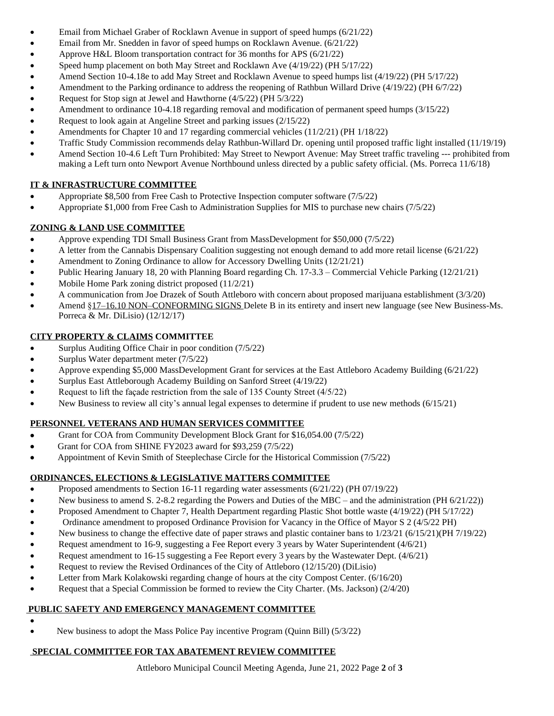- Email from Michael Graber of Rocklawn Avenue in support of speed humps (6/21/22)
- Email from Mr. Snedden in favor of speed humps on Rocklawn Avenue. (6/21/22)
- Approve H&L Bloom transportation contract for 36 months for APS (6/21/22)
- Speed hump placement on both May Street and Rocklawn Ave (4/19/22) (PH 5/17/22)
- Amend Section 10-4.18e to add May Street and Rocklawn Avenue to speed humps list (4/19/22) (PH 5/17/22)
- Amendment to the Parking ordinance to address the reopening of Rathbun Willard Drive (4/19/22) (PH 6/7/22)
- Request for Stop sign at Jewel and Hawthorne (4/5/22) (PH 5/3/22)
- Amendment to ordinance 10-4.18 regarding removal and modification of permanent speed humps (3/15/22)
- Request to look again at Angeline Street and parking issues (2/15/22)
- Amendments for Chapter 10 and 17 regarding commercial vehicles (11/2/21) (PH 1/18/22)
- Traffic Study Commission recommends delay Rathbun-Willard Dr. opening until proposed traffic light installed (11/19/19)
- Amend Section 10-4.6 Left Turn Prohibited: May Street to Newport Avenue: May Street traffic traveling --- prohibited from making a Left turn onto Newport Avenue Northbound unless directed by a public safety official. (Ms. Porreca 11/6/18)

# **IT & INFRASTRUCTURE COMMITTEE**

- Appropriate \$8,500 from Free Cash to Protective Inspection computer software (7/5/22)
- Appropriate \$1,000 from Free Cash to Administration Supplies for MIS to purchase new chairs (7/5/22)

# **ZONING & LAND USE COMMITTEE**

- Approve expending TDI Small Business Grant from MassDevelopment for \$50,000 (7/5/22)
- A letter from the Cannabis Dispensary Coalition suggesting not enough demand to add more retail license (6/21/22)
- Amendment to Zoning Ordinance to allow for Accessory Dwelling Units (12/21/21)
- Public Hearing January 18, 20 with Planning Board regarding Ch. 17-3.3 Commercial Vehicle Parking (12/21/21)
- Mobile Home Park zoning district proposed (11/2/21)
- A communication from Joe Drazek of South Attleboro with concern about proposed marijuana establishment (3/3/20)
- Amend §17–16.10 NON–CONFORMING SIGNS Delete B in its entirety and insert new language (see New Business-Ms. Porreca & Mr. DiLisio) (12/12/17)

## **CITY PROPERTY & CLAIMS COMMITTEE**

- Surplus Auditing Office Chair in poor condition (7/5/22)
- Surplus Water department meter (7/5/22)
- Approve expending \$5,000 MassDevelopment Grant for services at the East Attleboro Academy Building (6/21/22)
- Surplus East Attleborough Academy Building on Sanford Street (4/19/22)
- Request to lift the façade restriction from the sale of 135 County Street (4/5/22)
- New Business to review all city's annual legal expenses to determine if prudent to use new methods (6/15/21)

## **PERSONNEL VETERANS AND HUMAN SERVICES COMMITTEE**

- Grant for COA from Community Development Block Grant for \$16,054.00 (7/5/22)
- Grant for COA from SHINE FY2023 award for \$93,259 (7/5/22)
- Appointment of Kevin Smith of Steeplechase Circle for the Historical Commission (7/5/22)

## **ORDINANCES, ELECTIONS & LEGISLATIVE MATTERS COMMITTEE**

- Proposed amendments to Section 16-11 regarding water assessments (6/21/22) (PH 07/19/22)
- New business to amend S. 2-8.2 regarding the Powers and Duties of the MBC and the administration (PH 6/21/22))
- Proposed Amendment to Chapter 7, Health Department regarding Plastic Shot bottle waste (4/19/22) (PH 5/17/22)
- Ordinance amendment to proposed Ordinance Provision for Vacancy in the Office of Mayor S 2 (4/5/22 PH)
- New business to change the effective date of paper straws and plastic container bans to 1/23/21 (6/15/21)(PH 7/19/22)
- Request amendment to 16-9, suggesting a Fee Report every 3 years by Water Superintendent (4/6/21)
- Request amendment to 16-15 suggesting a Fee Report every 3 years by the Wastewater Dept. (4/6/21)
- Request to review the Revised Ordinances of the City of Attleboro (12/15/20) (DiLisio)
- Letter from Mark Kolakowski regarding change of hours at the city Compost Center. (6/16/20)
- Request that a Special Commission be formed to review the City Charter. (Ms. Jackson) (2/4/20)

## **PUBLIC SAFETY AND EMERGENCY MANAGEMENT COMMITTEE**

 $\bullet$ New business to adopt the Mass Police Pay incentive Program (Quinn Bill) (5/3/22)

# **SPECIAL COMMITTEE FOR TAX ABATEMENT REVIEW COMMITTEE**